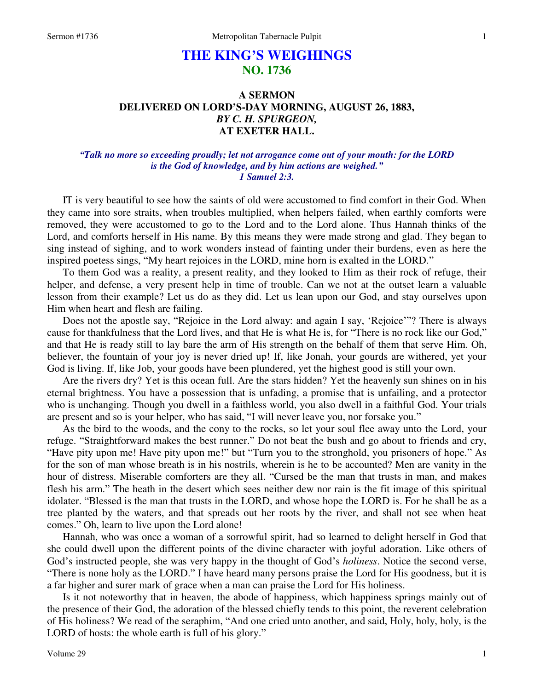# **THE KING'S WEIGHINGS NO. 1736**

## **A SERMON DELIVERED ON LORD'S-DAY MORNING, AUGUST 26, 1883,**  *BY C. H. SPURGEON,*  **AT EXETER HALL.**

## *"Talk no more so exceeding proudly; let not arrogance come out of your mouth: for the LORD is the God of knowledge, and by him actions are weighed." 1 Samuel 2:3.*

IT is very beautiful to see how the saints of old were accustomed to find comfort in their God. When they came into sore straits, when troubles multiplied, when helpers failed, when earthly comforts were removed, they were accustomed to go to the Lord and to the Lord alone. Thus Hannah thinks of the Lord, and comforts herself in His name. By this means they were made strong and glad. They began to sing instead of sighing, and to work wonders instead of fainting under their burdens, even as here the inspired poetess sings, "My heart rejoices in the LORD, mine horn is exalted in the LORD."

 To them God was a reality, a present reality, and they looked to Him as their rock of refuge, their helper, and defense, a very present help in time of trouble. Can we not at the outset learn a valuable lesson from their example? Let us do as they did. Let us lean upon our God, and stay ourselves upon Him when heart and flesh are failing.

 Does not the apostle say, "Rejoice in the Lord alway: and again I say, 'Rejoice'"? There is always cause for thankfulness that the Lord lives, and that He is what He is, for "There is no rock like our God," and that He is ready still to lay bare the arm of His strength on the behalf of them that serve Him. Oh, believer, the fountain of your joy is never dried up! If, like Jonah, your gourds are withered, yet your God is living. If, like Job, your goods have been plundered, yet the highest good is still your own.

 Are the rivers dry? Yet is this ocean full. Are the stars hidden? Yet the heavenly sun shines on in his eternal brightness. You have a possession that is unfading, a promise that is unfailing, and a protector who is unchanging. Though you dwell in a faithless world, you also dwell in a faithful God. Your trials are present and so is your helper, who has said, "I will never leave you, nor forsake you."

 As the bird to the woods, and the cony to the rocks, so let your soul flee away unto the Lord, your refuge. "Straightforward makes the best runner." Do not beat the bush and go about to friends and cry, "Have pity upon me! Have pity upon me!" but "Turn you to the stronghold, you prisoners of hope." As for the son of man whose breath is in his nostrils, wherein is he to be accounted? Men are vanity in the hour of distress. Miserable comforters are they all. "Cursed be the man that trusts in man, and makes flesh his arm." The heath in the desert which sees neither dew nor rain is the fit image of this spiritual idolater. "Blessed is the man that trusts in the LORD, and whose hope the LORD is. For he shall be as a tree planted by the waters, and that spreads out her roots by the river, and shall not see when heat comes." Oh, learn to live upon the Lord alone!

 Hannah, who was once a woman of a sorrowful spirit, had so learned to delight herself in God that she could dwell upon the different points of the divine character with joyful adoration. Like others of God's instructed people, she was very happy in the thought of God's *holiness*. Notice the second verse, "There is none holy as the LORD." I have heard many persons praise the Lord for His goodness, but it is a far higher and surer mark of grace when a man can praise the Lord for His holiness.

 Is it not noteworthy that in heaven, the abode of happiness, which happiness springs mainly out of the presence of their God, the adoration of the blessed chiefly tends to this point, the reverent celebration of His holiness? We read of the seraphim, "And one cried unto another, and said, Holy, holy, holy, is the LORD of hosts: the whole earth is full of his glory."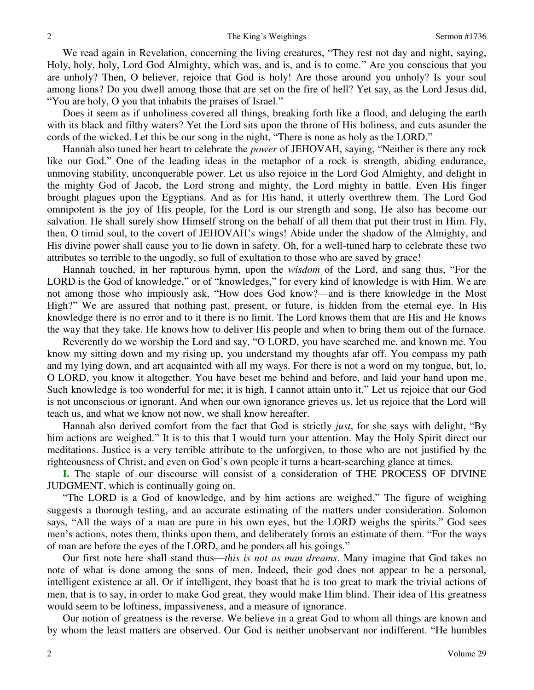We read again in Revelation, concerning the living creatures, "They rest not day and night, saying, Holy, holy, holy, Lord God Almighty, which was, and is, and is to come." Are you conscious that you are unholy? Then, O believer, rejoice that God is holy! Are those around you unholy? Is your soul among lions? Do you dwell among those that are set on the fire of hell? Yet say, as the Lord Jesus did, "You are holy, O you that inhabits the praises of Israel."

 Does it seem as if unholiness covered all things, breaking forth like a flood, and deluging the earth with its black and filthy waters? Yet the Lord sits upon the throne of His holiness, and cuts asunder the cords of the wicked. Let this be our song in the night, "There is none as holy as the LORD."

 Hannah also tuned her heart to celebrate the *power* of JEHOVAH, saying, "Neither is there any rock like our God." One of the leading ideas in the metaphor of a rock is strength, abiding endurance, unmoving stability, unconquerable power. Let us also rejoice in the Lord God Almighty, and delight in the mighty God of Jacob, the Lord strong and mighty, the Lord mighty in battle. Even His finger brought plagues upon the Egyptians. And as for His hand, it utterly overthrew them. The Lord God omnipotent is the joy of His people, for the Lord is our strength and song, He also has become our salvation. He shall surely show Himself strong on the behalf of all them that put their trust in Him. Fly, then, O timid soul, to the covert of JEHOVAH's wings! Abide under the shadow of the Almighty, and His divine power shall cause you to lie down in safety. Oh, for a well-tuned harp to celebrate these two attributes so terrible to the ungodly, so full of exultation to those who are saved by grace!

 Hannah touched, in her rapturous hymn, upon the *wisdom* of the Lord, and sang thus, "For the LORD is the God of knowledge," or of "knowledges," for every kind of knowledge is with Him. We are not among those who impiously ask, "How does God know?—and is there knowledge in the Most High?" We are assured that nothing past, present, or future, is hidden from the eternal eye. In His knowledge there is no error and to it there is no limit. The Lord knows them that are His and He knows the way that they take. He knows how to deliver His people and when to bring them out of the furnace.

 Reverently do we worship the Lord and say, "O LORD, you have searched me, and known me. You know my sitting down and my rising up, you understand my thoughts afar off. You compass my path and my lying down, and art acquainted with all my ways. For there is not a word on my tongue, but, lo, O LORD, you know it altogether. You have beset me behind and before, and laid your hand upon me. Such knowledge is too wonderful for me; it is high, I cannot attain unto it." Let us rejoice that our God is not unconscious or ignorant. And when our own ignorance grieves us, let us rejoice that the Lord will teach us, and what we know not now, we shall know hereafter.

 Hannah also derived comfort from the fact that God is strictly *just*, for she says with delight, "By him actions are weighed." It is to this that I would turn your attention. May the Holy Spirit direct our meditations. Justice is a very terrible attribute to the unforgiven, to those who are not justified by the righteousness of Christ, and even on God's own people it turns a heart-searching glance at times.

**I.** The staple of our discourse will consist of a consideration of THE PROCESS OF DIVINE JUDGMENT, which is continually going on.

"The LORD is a God of knowledge, and by him actions are weighed." The figure of weighing suggests a thorough testing, and an accurate estimating of the matters under consideration. Solomon says, "All the ways of a man are pure in his own eyes, but the LORD weighs the spirits." God sees men's actions, notes them, thinks upon them, and deliberately forms an estimate of them. "For the ways of man are before the eyes of the LORD, and he ponders all his goings."

 Our first note here shall stand thus—*this is not as man dreams*. Many imagine that God takes no note of what is done among the sons of men. Indeed, their god does not appear to be a personal, intelligent existence at all. Or if intelligent, they boast that he is too great to mark the trivial actions of men, that is to say, in order to make God great, they would make Him blind. Their idea of His greatness would seem to be loftiness, impassiveness, and a measure of ignorance.

 Our notion of greatness is the reverse. We believe in a great God to whom all things are known and by whom the least matters are observed. Our God is neither unobservant nor indifferent. "He humbles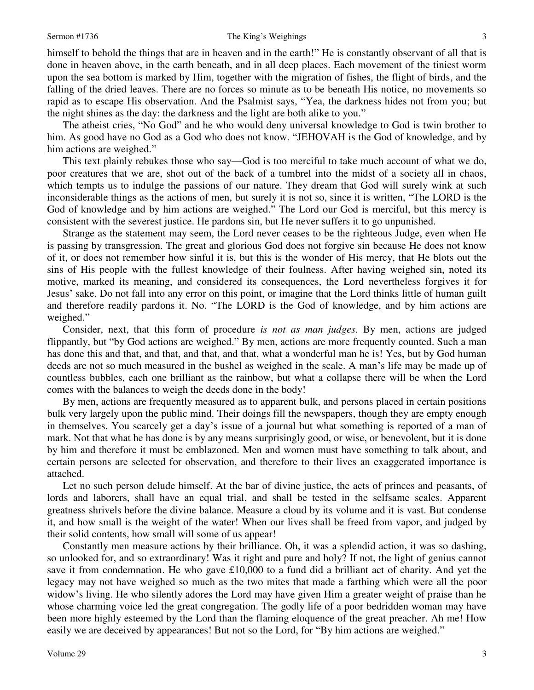himself to behold the things that are in heaven and in the earth!" He is constantly observant of all that is done in heaven above, in the earth beneath, and in all deep places. Each movement of the tiniest worm upon the sea bottom is marked by Him, together with the migration of fishes, the flight of birds, and the falling of the dried leaves. There are no forces so minute as to be beneath His notice, no movements so rapid as to escape His observation. And the Psalmist says, "Yea, the darkness hides not from you; but the night shines as the day: the darkness and the light are both alike to you."

 The atheist cries, "No God" and he who would deny universal knowledge to God is twin brother to him. As good have no God as a God who does not know. "JEHOVAH is the God of knowledge, and by him actions are weighed."

 This text plainly rebukes those who say—God is too merciful to take much account of what we do, poor creatures that we are, shot out of the back of a tumbrel into the midst of a society all in chaos, which tempts us to indulge the passions of our nature. They dream that God will surely wink at such inconsiderable things as the actions of men, but surely it is not so, since it is written, "The LORD is the God of knowledge and by him actions are weighed." The Lord our God is merciful, but this mercy is consistent with the severest justice. He pardons sin, but He never suffers it to go unpunished.

 Strange as the statement may seem, the Lord never ceases to be the righteous Judge, even when He is passing by transgression. The great and glorious God does not forgive sin because He does not know of it, or does not remember how sinful it is, but this is the wonder of His mercy, that He blots out the sins of His people with the fullest knowledge of their foulness. After having weighed sin, noted its motive, marked its meaning, and considered its consequences, the Lord nevertheless forgives it for Jesus' sake. Do not fall into any error on this point, or imagine that the Lord thinks little of human guilt and therefore readily pardons it. No. "The LORD is the God of knowledge, and by him actions are weighed."

 Consider, next, that this form of procedure *is not as man judges*. By men, actions are judged flippantly, but "by God actions are weighed." By men, actions are more frequently counted. Such a man has done this and that, and that, and that, and that, what a wonderful man he is! Yes, but by God human deeds are not so much measured in the bushel as weighed in the scale. A man's life may be made up of countless bubbles, each one brilliant as the rainbow, but what a collapse there will be when the Lord comes with the balances to weigh the deeds done in the body!

 By men, actions are frequently measured as to apparent bulk, and persons placed in certain positions bulk very largely upon the public mind. Their doings fill the newspapers, though they are empty enough in themselves. You scarcely get a day's issue of a journal but what something is reported of a man of mark. Not that what he has done is by any means surprisingly good, or wise, or benevolent, but it is done by him and therefore it must be emblazoned. Men and women must have something to talk about, and certain persons are selected for observation, and therefore to their lives an exaggerated importance is attached.

 Let no such person delude himself. At the bar of divine justice, the acts of princes and peasants, of lords and laborers, shall have an equal trial, and shall be tested in the selfsame scales. Apparent greatness shrivels before the divine balance. Measure a cloud by its volume and it is vast. But condense it, and how small is the weight of the water! When our lives shall be freed from vapor, and judged by their solid contents, how small will some of us appear!

 Constantly men measure actions by their brilliance. Oh, it was a splendid action, it was so dashing, so unlooked for, and so extraordinary! Was it right and pure and holy? If not, the light of genius cannot save it from condemnation. He who gave £10,000 to a fund did a brilliant act of charity. And yet the legacy may not have weighed so much as the two mites that made a farthing which were all the poor widow's living. He who silently adores the Lord may have given Him a greater weight of praise than he whose charming voice led the great congregation. The godly life of a poor bedridden woman may have been more highly esteemed by the Lord than the flaming eloquence of the great preacher. Ah me! How easily we are deceived by appearances! But not so the Lord, for "By him actions are weighed."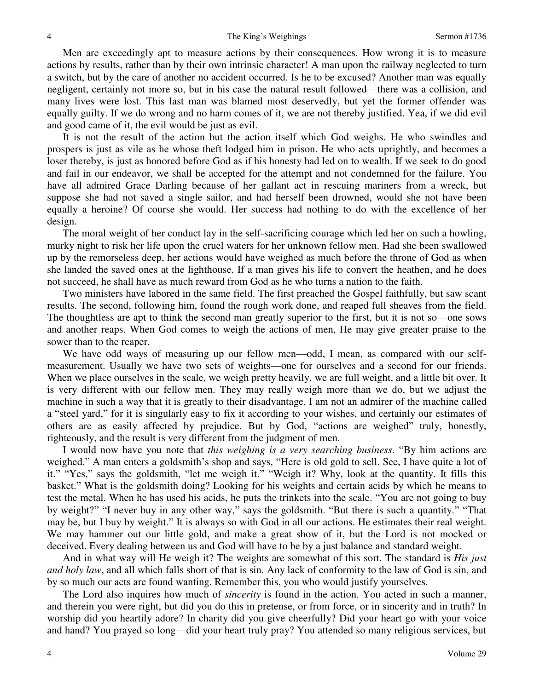Men are exceedingly apt to measure actions by their consequences. How wrong it is to measure actions by results, rather than by their own intrinsic character! A man upon the railway neglected to turn a switch, but by the care of another no accident occurred. Is he to be excused? Another man was equally negligent, certainly not more so, but in his case the natural result followed—there was a collision, and many lives were lost. This last man was blamed most deservedly, but yet the former offender was equally guilty. If we do wrong and no harm comes of it, we are not thereby justified. Yea, if we did evil and good came of it, the evil would be just as evil.

 It is not the result of the action but the action itself which God weighs. He who swindles and prospers is just as vile as he whose theft lodged him in prison. He who acts uprightly, and becomes a loser thereby, is just as honored before God as if his honesty had led on to wealth. If we seek to do good and fail in our endeavor, we shall be accepted for the attempt and not condemned for the failure. You have all admired Grace Darling because of her gallant act in rescuing mariners from a wreck, but suppose she had not saved a single sailor, and had herself been drowned, would she not have been equally a heroine? Of course she would. Her success had nothing to do with the excellence of her design.

 The moral weight of her conduct lay in the self-sacrificing courage which led her on such a howling, murky night to risk her life upon the cruel waters for her unknown fellow men. Had she been swallowed up by the remorseless deep, her actions would have weighed as much before the throne of God as when she landed the saved ones at the lighthouse. If a man gives his life to convert the heathen, and he does not succeed, he shall have as much reward from God as he who turns a nation to the faith.

 Two ministers have labored in the same field. The first preached the Gospel faithfully, but saw scant results. The second, following him, found the rough work done, and reaped full sheaves from the field. The thoughtless are apt to think the second man greatly superior to the first, but it is not so—one sows and another reaps. When God comes to weigh the actions of men, He may give greater praise to the sower than to the reaper.

We have odd ways of measuring up our fellow men—odd, I mean, as compared with our selfmeasurement. Usually we have two sets of weights—one for ourselves and a second for our friends. When we place ourselves in the scale, we weigh pretty heavily, we are full weight, and a little bit over. It is very different with our fellow men. They may really weigh more than we do, but we adjust the machine in such a way that it is greatly to their disadvantage. I am not an admirer of the machine called a "steel yard," for it is singularly easy to fix it according to your wishes, and certainly our estimates of others are as easily affected by prejudice. But by God, "actions are weighed" truly, honestly, righteously, and the result is very different from the judgment of men.

 I would now have you note that *this weighing is a very searching business*. "By him actions are weighed." A man enters a goldsmith's shop and says, "Here is old gold to sell. See, I have quite a lot of it." "Yes," says the goldsmith, "let me weigh it." "Weigh it? Why, look at the quantity. It fills this basket." What is the goldsmith doing? Looking for his weights and certain acids by which he means to test the metal. When he has used his acids, he puts the trinkets into the scale. "You are not going to buy by weight?" "I never buy in any other way," says the goldsmith. "But there is such a quantity." "That may be, but I buy by weight." It is always so with God in all our actions. He estimates their real weight. We may hammer out our little gold, and make a great show of it, but the Lord is not mocked or deceived. Every dealing between us and God will have to be by a just balance and standard weight.

 And in what way will He weigh it? The weights are somewhat of this sort. The standard is *His just and holy law*, and all which falls short of that is sin. Any lack of conformity to the law of God is sin, and by so much our acts are found wanting. Remember this, you who would justify yourselves.

 The Lord also inquires how much of *sincerity* is found in the action. You acted in such a manner, and therein you were right, but did you do this in pretense, or from force, or in sincerity and in truth? In worship did you heartily adore? In charity did you give cheerfully? Did your heart go with your voice and hand? You prayed so long—did your heart truly pray? You attended so many religious services, but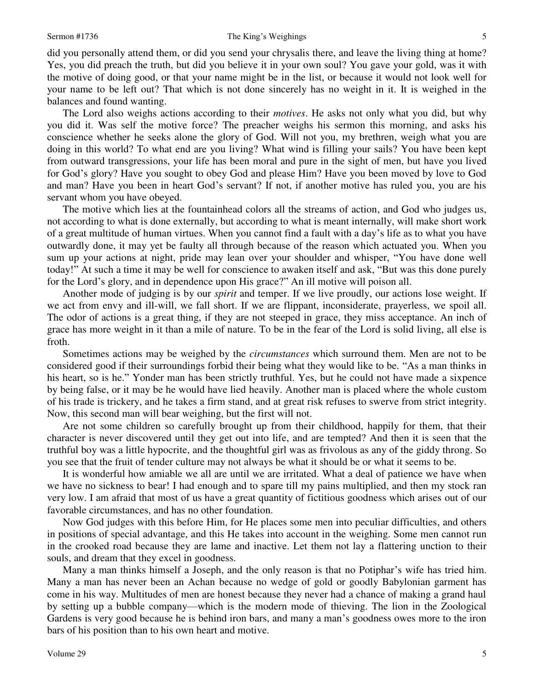did you personally attend them, or did you send your chrysalis there, and leave the living thing at home? Yes, you did preach the truth, but did you believe it in your own soul? You gave your gold, was it with the motive of doing good, or that your name might be in the list, or because it would not look well for your name to be left out? That which is not done sincerely has no weight in it. It is weighed in the balances and found wanting.

 The Lord also weighs actions according to their *motives*. He asks not only what you did, but why you did it. Was self the motive force? The preacher weighs his sermon this morning, and asks his conscience whether he seeks alone the glory of God. Will not you, my brethren, weigh what you are doing in this world? To what end are you living? What wind is filling your sails? You have been kept from outward transgressions, your life has been moral and pure in the sight of men, but have you lived for God's glory? Have you sought to obey God and please Him? Have you been moved by love to God and man? Have you been in heart God's servant? If not, if another motive has ruled you, you are his servant whom you have obeyed.

 The motive which lies at the fountainhead colors all the streams of action, and God who judges us, not according to what is done externally, but according to what is meant internally, will make short work of a great multitude of human virtues. When you cannot find a fault with a day's life as to what you have outwardly done, it may yet be faulty all through because of the reason which actuated you. When you sum up your actions at night, pride may lean over your shoulder and whisper, "You have done well today!" At such a time it may be well for conscience to awaken itself and ask, "But was this done purely for the Lord's glory, and in dependence upon His grace?" An ill motive will poison all.

 Another mode of judging is by our *spirit* and temper. If we live proudly, our actions lose weight. If we act from envy and ill-will, we fall short. If we are flippant, inconsiderate, prayerless, we spoil all. The odor of actions is a great thing, if they are not steeped in grace, they miss acceptance. An inch of grace has more weight in it than a mile of nature. To be in the fear of the Lord is solid living, all else is froth.

 Sometimes actions may be weighed by the *circumstances* which surround them. Men are not to be considered good if their surroundings forbid their being what they would like to be. "As a man thinks in his heart, so is he." Yonder man has been strictly truthful. Yes, but he could not have made a sixpence by being false, or it may be he would have lied heavily. Another man is placed where the whole custom of his trade is trickery, and he takes a firm stand, and at great risk refuses to swerve from strict integrity. Now, this second man will bear weighing, but the first will not.

 Are not some children so carefully brought up from their childhood, happily for them, that their character is never discovered until they get out into life, and are tempted? And then it is seen that the truthful boy was a little hypocrite, and the thoughtful girl was as frivolous as any of the giddy throng. So you see that the fruit of tender culture may not always be what it should be or what it seems to be.

 It is wonderful how amiable we all are until we are irritated. What a deal of patience we have when we have no sickness to bear! I had enough and to spare till my pains multiplied, and then my stock ran very low. I am afraid that most of us have a great quantity of fictitious goodness which arises out of our favorable circumstances, and has no other foundation.

 Now God judges with this before Him, for He places some men into peculiar difficulties, and others in positions of special advantage, and this He takes into account in the weighing. Some men cannot run in the crooked road because they are lame and inactive. Let them not lay a flattering unction to their souls, and dream that they excel in goodness.

 Many a man thinks himself a Joseph, and the only reason is that no Potiphar's wife has tried him. Many a man has never been an Achan because no wedge of gold or goodly Babylonian garment has come in his way. Multitudes of men are honest because they never had a chance of making a grand haul by setting up a bubble company—which is the modern mode of thieving. The lion in the Zoological Gardens is very good because he is behind iron bars, and many a man's goodness owes more to the iron bars of his position than to his own heart and motive.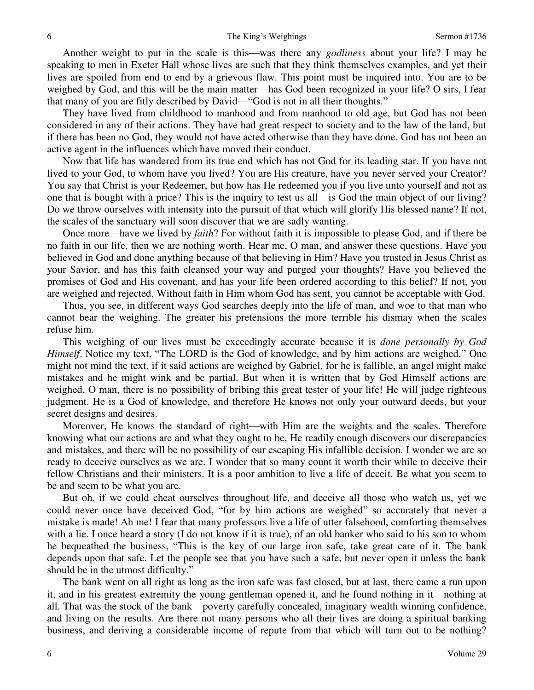Another weight to put in the scale is this—was there any *godliness* about your life? I may be speaking to men in Exeter Hall whose lives are such that they think themselves examples, and yet their lives are spoiled from end to end by a grievous flaw. This point must be inquired into. You are to be weighed by God, and this will be the main matter—has God been recognized in your life? O sirs, I fear that many of you are fitly described by David—"God is not in all their thoughts."

 They have lived from childhood to manhood and from manhood to old age, but God has not been considered in any of their actions. They have had great respect to society and to the law of the land, but if there has been no God, they would not have acted otherwise than they have done. God has not been an active agent in the influences which have moved their conduct.

 Now that life has wandered from its true end which has not God for its leading star. If you have not lived to your God, to whom have you lived? You are His creature, have you never served your Creator? You say that Christ is your Redeemer, but how has He redeemed you if you live unto yourself and not as one that is bought with a price? This is the inquiry to test us all—is God the main object of our living? Do we throw ourselves with intensity into the pursuit of that which will glorify His blessed name? If not, the scales of the sanctuary will soon discover that we are sadly wanting.

 Once more—have we lived by *faith*? For without faith it is impossible to please God, and if there be no faith in our life, then we are nothing worth. Hear me, O man, and answer these questions. Have you believed in God and done anything because of that believing in Him? Have you trusted in Jesus Christ as your Savior, and has this faith cleansed your way and purged your thoughts? Have you believed the promises of God and His covenant, and has your life been ordered according to this belief? If not, you are weighed and rejected. Without faith in Him whom God has sent, you cannot be acceptable with God.

 Thus, you see, in different ways God searches deeply into the life of man, and woe to that man who cannot bear the weighing. The greater his pretensions the more terrible his dismay when the scales refuse him.

 This weighing of our lives must be exceedingly accurate because it is *done personally by God Himself.* Notice my text, "The LORD is the God of knowledge, and by him actions are weighed." One might not mind the text, if it said actions are weighed by Gabriel, for he is fallible, an angel might make mistakes and he might wink and be partial. But when it is written that by God Himself actions are weighed, O man, there is no possibility of bribing this great tester of your life! He will judge righteous judgment. He is a God of knowledge, and therefore He knows not only your outward deeds, but your secret designs and desires.

 Moreover, He knows the standard of right—with Him are the weights and the scales. Therefore knowing what our actions are and what they ought to be, He readily enough discovers our discrepancies and mistakes, and there will be no possibility of our escaping His infallible decision. I wonder we are so ready to deceive ourselves as we are. I wonder that so many count it worth their while to deceive their fellow Christians and their ministers. It is a poor ambition to live a life of deceit. Be what you seem to be and seem to be what you are.

 But oh, if we could cheat ourselves throughout life, and deceive all those who watch us, yet we could never once have deceived God, "for by him actions are weighed" so accurately that never a mistake is made! Ah me! I fear that many professors live a life of utter falsehood, comforting themselves with a lie. I once heard a story (I do not know if it is true), of an old banker who said to his son to whom he bequeathed the business, "This is the key of our large iron safe, take great care of it. The bank depends upon that safe. Let the people see that you have such a safe, but never open it unless the bank should be in the utmost difficulty."

 The bank went on all right as long as the iron safe was fast closed, but at last, there came a run upon it, and in his greatest extremity the young gentleman opened it, and he found nothing in it—nothing at all. That was the stock of the bank—poverty carefully concealed, imaginary wealth winning confidence, and living on the results. Are there not many persons who all their lives are doing a spiritual banking business, and deriving a considerable income of repute from that which will turn out to be nothing?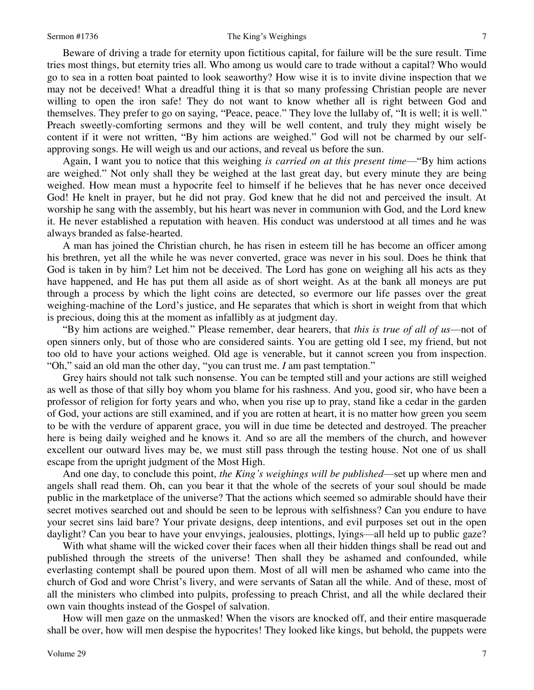Beware of driving a trade for eternity upon fictitious capital, for failure will be the sure result. Time tries most things, but eternity tries all. Who among us would care to trade without a capital? Who would go to sea in a rotten boat painted to look seaworthy? How wise it is to invite divine inspection that we may not be deceived! What a dreadful thing it is that so many professing Christian people are never willing to open the iron safe! They do not want to know whether all is right between God and themselves. They prefer to go on saying, "Peace, peace." They love the lullaby of, "It is well; it is well." Preach sweetly-comforting sermons and they will be well content, and truly they might wisely be content if it were not written, "By him actions are weighed." God will not be charmed by our selfapproving songs. He will weigh us and our actions, and reveal us before the sun.

 Again, I want you to notice that this weighing *is carried on at this present time*—"By him actions are weighed." Not only shall they be weighed at the last great day, but every minute they are being weighed. How mean must a hypocrite feel to himself if he believes that he has never once deceived God! He knelt in prayer, but he did not pray. God knew that he did not and perceived the insult. At worship he sang with the assembly, but his heart was never in communion with God, and the Lord knew it. He never established a reputation with heaven. His conduct was understood at all times and he was always branded as false-hearted.

 A man has joined the Christian church, he has risen in esteem till he has become an officer among his brethren, yet all the while he was never converted, grace was never in his soul. Does he think that God is taken in by him? Let him not be deceived. The Lord has gone on weighing all his acts as they have happened, and He has put them all aside as of short weight. As at the bank all moneys are put through a process by which the light coins are detected, so evermore our life passes over the great weighing-machine of the Lord's justice, and He separates that which is short in weight from that which is precious, doing this at the moment as infallibly as at judgment day.

"By him actions are weighed." Please remember, dear hearers, that *this is true of all of us*—not of open sinners only, but of those who are considered saints. You are getting old I see, my friend, but not too old to have your actions weighed. Old age is venerable, but it cannot screen you from inspection. "Oh," said an old man the other day, "you can trust me. *I* am past temptation."

 Grey hairs should not talk such nonsense. You can be tempted still and your actions are still weighed as well as those of that silly boy whom you blame for his rashness. And you, good sir, who have been a professor of religion for forty years and who, when you rise up to pray, stand like a cedar in the garden of God, your actions are still examined, and if you are rotten at heart, it is no matter how green you seem to be with the verdure of apparent grace, you will in due time be detected and destroyed. The preacher here is being daily weighed and he knows it. And so are all the members of the church, and however excellent our outward lives may be, we must still pass through the testing house. Not one of us shall escape from the upright judgment of the Most High.

 And one day, to conclude this point, *the King's weighings will be published*—set up where men and angels shall read them. Oh, can you bear it that the whole of the secrets of your soul should be made public in the marketplace of the universe? That the actions which seemed so admirable should have their secret motives searched out and should be seen to be leprous with selfishness? Can you endure to have your secret sins laid bare? Your private designs, deep intentions, and evil purposes set out in the open daylight? Can you bear to have your envyings, jealousies, plottings, lyings—all held up to public gaze?

 With what shame will the wicked cover their faces when all their hidden things shall be read out and published through the streets of the universe! Then shall they be ashamed and confounded, while everlasting contempt shall be poured upon them. Most of all will men be ashamed who came into the church of God and wore Christ's livery, and were servants of Satan all the while. And of these, most of all the ministers who climbed into pulpits, professing to preach Christ, and all the while declared their own vain thoughts instead of the Gospel of salvation.

 How will men gaze on the unmasked! When the visors are knocked off, and their entire masquerade shall be over, how will men despise the hypocrites! They looked like kings, but behold, the puppets were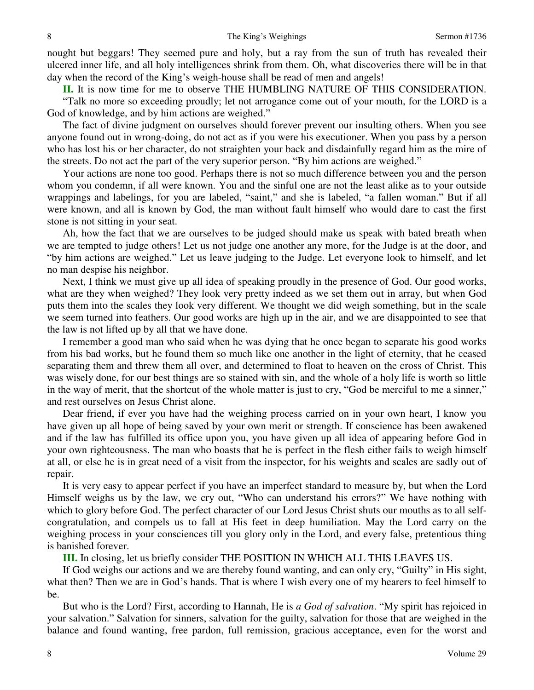nought but beggars! They seemed pure and holy, but a ray from the sun of truth has revealed their ulcered inner life, and all holy intelligences shrink from them. Oh, what discoveries there will be in that day when the record of the King's weigh-house shall be read of men and angels!

**II.** It is now time for me to observe THE HUMBLING NATURE OF THIS CONSIDERATION.

"Talk no more so exceeding proudly; let not arrogance come out of your mouth, for the LORD is a God of knowledge, and by him actions are weighed."

 The fact of divine judgment on ourselves should forever prevent our insulting others. When you see anyone found out in wrong-doing, do not act as if you were his executioner. When you pass by a person who has lost his or her character, do not straighten your back and disdainfully regard him as the mire of the streets. Do not act the part of the very superior person. "By him actions are weighed."

 Your actions are none too good. Perhaps there is not so much difference between you and the person whom you condemn, if all were known. You and the sinful one are not the least alike as to your outside wrappings and labelings, for you are labeled, "saint," and she is labeled, "a fallen woman." But if all were known, and all is known by God, the man without fault himself who would dare to cast the first stone is not sitting in your seat.

 Ah, how the fact that we are ourselves to be judged should make us speak with bated breath when we are tempted to judge others! Let us not judge one another any more, for the Judge is at the door, and "by him actions are weighed." Let us leave judging to the Judge. Let everyone look to himself, and let no man despise his neighbor.

 Next, I think we must give up all idea of speaking proudly in the presence of God. Our good works, what are they when weighed? They look very pretty indeed as we set them out in array, but when God puts them into the scales they look very different. We thought we did weigh something, but in the scale we seem turned into feathers. Our good works are high up in the air, and we are disappointed to see that the law is not lifted up by all that we have done.

 I remember a good man who said when he was dying that he once began to separate his good works from his bad works, but he found them so much like one another in the light of eternity, that he ceased separating them and threw them all over, and determined to float to heaven on the cross of Christ. This was wisely done, for our best things are so stained with sin, and the whole of a holy life is worth so little in the way of merit, that the shortcut of the whole matter is just to cry, "God be merciful to me a sinner," and rest ourselves on Jesus Christ alone.

 Dear friend, if ever you have had the weighing process carried on in your own heart, I know you have given up all hope of being saved by your own merit or strength. If conscience has been awakened and if the law has fulfilled its office upon you, you have given up all idea of appearing before God in your own righteousness. The man who boasts that he is perfect in the flesh either fails to weigh himself at all, or else he is in great need of a visit from the inspector, for his weights and scales are sadly out of repair.

 It is very easy to appear perfect if you have an imperfect standard to measure by, but when the Lord Himself weighs us by the law, we cry out, "Who can understand his errors?" We have nothing with which to glory before God. The perfect character of our Lord Jesus Christ shuts our mouths as to all selfcongratulation, and compels us to fall at His feet in deep humiliation. May the Lord carry on the weighing process in your consciences till you glory only in the Lord, and every false, pretentious thing is banished forever.

**III.** In closing, let us briefly consider THE POSITION IN WHICH ALL THIS LEAVES US.

 If God weighs our actions and we are thereby found wanting, and can only cry, "Guilty" in His sight, what then? Then we are in God's hands. That is where I wish every one of my hearers to feel himself to be.

 But who is the Lord? First, according to Hannah, He is *a God of salvation*. "My spirit has rejoiced in your salvation." Salvation for sinners, salvation for the guilty, salvation for those that are weighed in the balance and found wanting, free pardon, full remission, gracious acceptance, even for the worst and